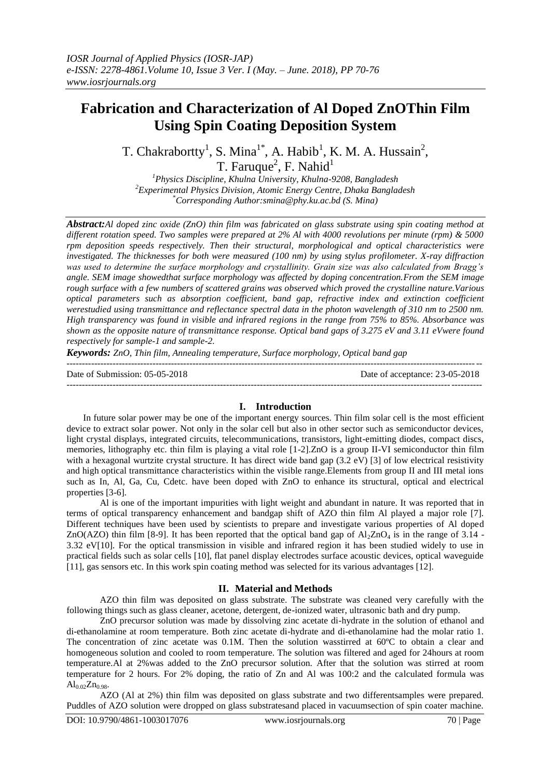# **Fabrication and Characterization of Al Doped ZnOThin Film Using Spin Coating Deposition System**

T. Chakrabortty<sup>1</sup>, S. Mina<sup>1\*</sup>, A. Habib<sup>1</sup>, K. M. A. Hussain<sup>2</sup>, T. Faruque<sup>2</sup>, F. Nahid<sup>1</sup>

*<sup>1</sup>Physics Discipline, Khulna University, Khulna-9208, Bangladesh <sup>2</sup>Experimental Physics Division, Atomic Energy Centre, Dhaka Bangladesh* \**Corresponding Author[:smina@phy.ku.ac.bd](mailto:smina@phy.ku.ac.bd) (S. Mina)*

*Abstract:Al doped zinc oxide (ZnO) thin film was fabricated on glass substrate using spin coating method at different rotation speed. Two samples were prepared at 2% Al with 4000 revolutions per minute (rpm) & 5000 rpm deposition speeds respectively. Then their structural, morphological and optical characteristics were investigated. The thicknesses for both were measured (100 nm) by using stylus profilometer. X-ray diffraction was used to determine the surface morphology and crystallinity. Grain size was also calculated from Bragg's angle. SEM image showedthat surface morphology was affected by doping concentration.From the SEM image rough surface with a few numbers of scattered grains was observed which proved the crystalline nature.Various optical parameters such as absorption coefficient, band gap, refractive index and extinction coefficient werestudied using transmittance and reflectance spectral data in the photon wavelength of 310 nm to 2500 nm. High transparency was found in visible and infrared regions in the range from 75% to 85%. Absorbance was shown as the opposite nature of transmittance response. Optical band gaps of 3.275 eV and 3.11 eVwere found respectively for sample-1 and sample-2.*

*Keywords: ZnO, Thin film, Annealing temperature, Surface morphology, Optical band gap*

Date of Submission: 05-05-2018 Date of acceptance: 23-05-2018

## ---------------------------------------------------------------------------------------------------------------------------------------

#### **I. Introduction**

---------------------------------------------------------------------------------------------------------------------------------------

In future solar power may be one of the important energy sources. Thin film solar cell is the most efficient device to extract solar power. Not only in the solar cell but also in other sector such as semiconductor devices, light crystal displays, integrated circuits, telecommunications, transistors, light-emitting diodes, compact discs, memories, lithography etc. thin film is playing a vital role [1-2].ZnO is a group II-VI semiconductor thin film with a hexagonal wurtzite crystal structure. It has direct wide band gap (3.2 eV) [3] of low electrical resistivity and high optical transmittance characteristics within the visible range.Elements from group II and III metal ions such as In, Al, Ga, Cu, Cdetc. have been doped with ZnO to enhance its structural, optical and electrical properties [3-6].

Al is one of the important impurities with light weight and abundant in nature. It was reported that in terms of optical transparency enhancement and bandgap shift of AZO thin film Al played a major role [7]. Different techniques have been used by scientists to prepare and investigate various properties of Al doped ZnO(AZO) thin film [8-9]. It has been reported that the optical band gap of  $A<sub>1</sub>ZnO<sub>4</sub>$  is in the range of 3.14 -3.32 eV[10]. For the optical transmission in visible and infrared region it has been studied widely to use in practical fields such as solar cells [10], flat panel display electrodes surface acoustic devices, optical waveguide [11], gas sensors etc. In this work spin coating method was selected for its various advantages [12].

## **II. Material and Methods**

AZO thin film was deposited on glass substrate. The substrate was cleaned very carefully with the following things such as glass cleaner, acetone, detergent, de-ionized water, ultrasonic bath and dry pump.

ZnO precursor solution was made by dissolving zinc acetate di-hydrate in the solution of ethanol and di-ethanolamine at room temperature. Both zinc acetate di-hydrate and di-ethanolamine had the molar ratio 1. The concentration of zinc acetate was 0.1M. Then the solution wasstirred at 60ºC to obtain a clear and homogeneous solution and cooled to room temperature. The solution was filtered and aged for 24hours at room temperature.Al at 2%was added to the ZnO precursor solution. After that the solution was stirred at room temperature for 2 hours. For 2% doping, the ratio of Zn and Al was 100:2 and the calculated formula was  $Al_{0.02}Zn_{0.98}$ .

AZO (Al at 2%) thin film was deposited on glass substrate and two differentsamples were prepared. Puddles of AZO solution were dropped on glass substratesand placed in vacuumsection of spin coater machine.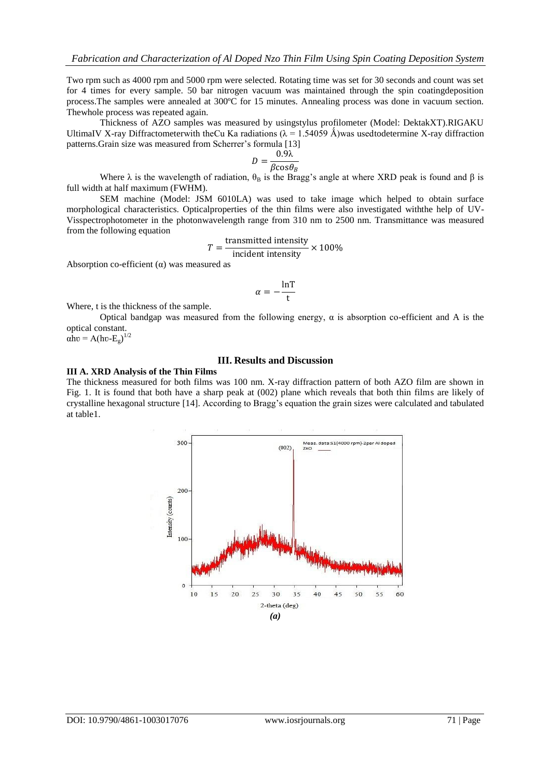Two rpm such as 4000 rpm and 5000 rpm were selected. Rotating time was set for 30 seconds and count was set for 4 times for every sample. 50 bar nitrogen vacuum was maintained through the spin coatingdeposition process.The samples were annealed at 300ºC for 15 minutes. Annealing process was done in vacuum section. Thewhole process was repeated again.

Thickness of AZO samples was measured by usingstylus profilometer (Model: DektakXT).RIGAKU UltimaIV X-ray Diffractometerwith theCu Ka radiations ( $\lambda = 1.54059$  Å)was usedtodetermine X-ray diffraction patterns.Grain size was measured from Scherrer's formula [13]

$$
D = \frac{0.9\lambda}{\beta \cos \theta_B}
$$

Where  $\lambda$  is the wavelength of radiation,  $\theta_B$  is the Bragg's angle at where XRD peak is found and  $\beta$  is full width at half maximum (FWHM).

SEM machine (Model: JSM 6010LA) was used to take image which helped to obtain surface morphological characteristics. Opticalproperties of the thin films were also investigated withthe help of UV-Visspectrophotometer in the photonwavelength range from 310 nm to 2500 nm. Transmittance was measured from the following equation

$$
T = \frac{\text{transmitted intensity}}{\text{incident intensity}} \times 100\%
$$

Absorption co-efficient  $(\alpha)$  was measured as

$$
\alpha = -\frac{\ln T}{t}
$$

Where, t is the thickness of the sample.

Optical bandgap was measured from the following energy, α is absorption co-efficient and A is the optical constant.

 $\alpha$ hv = A(hv-E<sub>g</sub>)<sup>1/2</sup>

## **III. Results and Discussion**

## **III A. XRD Analysis of the Thin Films**

The thickness measured for both films was 100 nm. X-ray diffraction pattern of both AZO film are shown in Fig. 1. It is found that both have a sharp peak at (002) plane which reveals that both thin films are likely of crystalline hexagonal structure [14]. According to Bragg's equation the grain sizes were calculated and tabulated at table1.

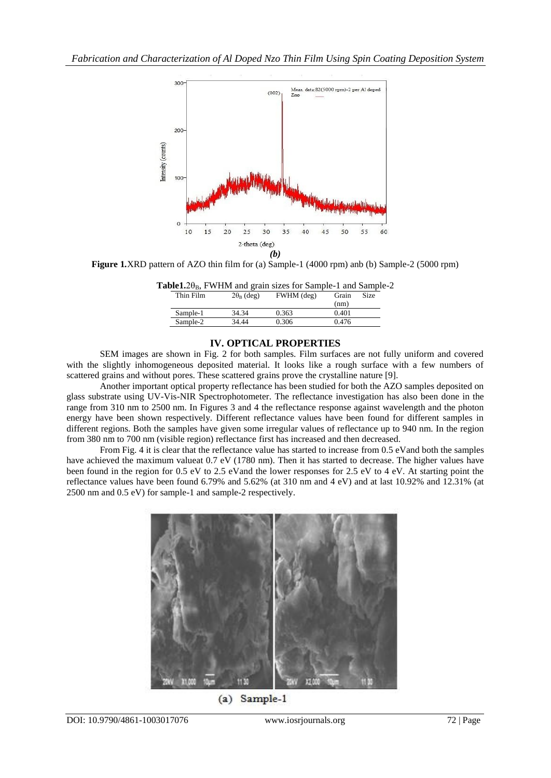

**Figure 1***.*XRD pattern of AZO thin film for (a) Sample-1 (4000 rpm) anb (b) Sample-2 (5000 rpm)

|           |                   |            | <b>Table1.20</b> <sub>B</sub> , FWHM and grain sizes for Sample-1 and Sample-2 |               |             |  |
|-----------|-------------------|------------|--------------------------------------------------------------------------------|---------------|-------------|--|
| Thin Film | $2\theta_B$ (deg) | FWHM (deg) |                                                                                | Grain<br>(nm) | <b>Size</b> |  |
|           |                   |            |                                                                                |               |             |  |

| ******* * ***** | $= 0.0$ (see $= 0.7$ ) |       | -------<br>----<br>(nm) |
|-----------------|------------------------|-------|-------------------------|
| Sample-1        | 34.34                  | 0.363 | 0.401                   |
| Sample-2        | 34.44                  | 0.306 | 0.476                   |
|                 |                        |       |                         |

## **IV. OPTICAL PROPERTIES**

SEM images are shown in Fig. 2 for both samples. Film surfaces are not fully uniform and covered with the slightly inhomogeneous deposited material. It looks like a rough surface with a few numbers of scattered grains and without pores. These scattered grains prove the crystalline nature [9].

Another important optical property reflectance has been studied for both the AZO samples deposited on glass substrate using UV-Vis-NIR Spectrophotometer. The reflectance investigation has also been done in the range from 310 nm to 2500 nm. In Figures 3 and 4 the reflectance response against wavelength and the photon energy have been shown respectively. Different reflectance values have been found for different samples in different regions. Both the samples have given some irregular values of reflectance up to 940 nm. In the region from 380 nm to 700 nm (visible region) reflectance first has increased and then decreased.

From Fig. 4 it is clear that the reflectance value has started to increase from 0.5 eVand both the samples have achieved the maximum valueat 0.7 eV (1780 nm). Then it has started to decrease. The higher values have been found in the region for 0.5 eV to 2.5 eVand the lower responses for 2.5 eV to 4 eV. At starting point the reflectance values have been found 6.79% and 5.62% (at 310 nm and 4 eV) and at last 10.92% and 12.31% (at 2500 nm and 0.5 eV) for sample-1 and sample-2 respectively.



Sample-1  $(a)$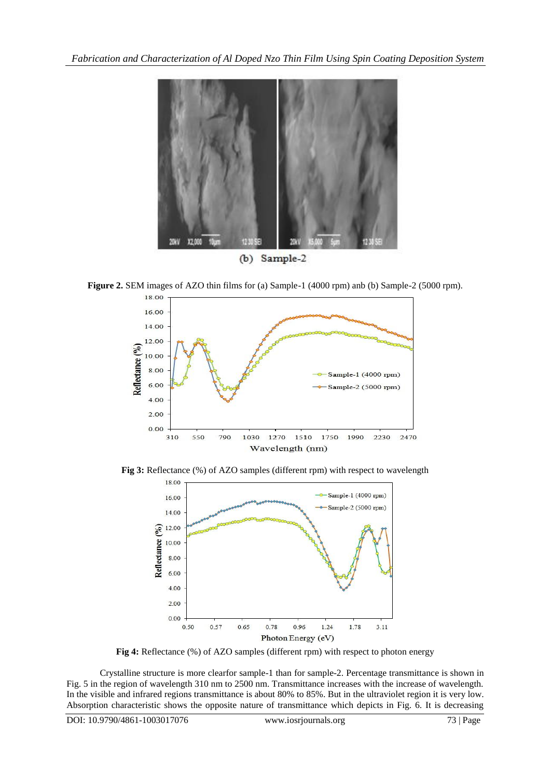

**Figure 2.** SEM images of AZO thin films for (a) Sample-1 (4000 rpm) anb (b) Sample-2 (5000 rpm).



**Fig 3:** Reflectance (%) of AZO samples (different rpm) with respect to wavelength



**Fig 4:** Reflectance (%) of AZO samples (different rpm) with respect to photon energy

Crystalline structure is more clearfor sample-1 than for sample-2. Percentage transmittance is shown in Fig. 5 in the region of wavelength 310 nm to 2500 nm. Transmittance increases with the increase of wavelength. In the visible and infrared regions transmittance is about 80% to 85%. But in the ultraviolet region it is very low. Absorption characteristic shows the opposite nature of transmittance which depicts in Fig. 6. It is decreasing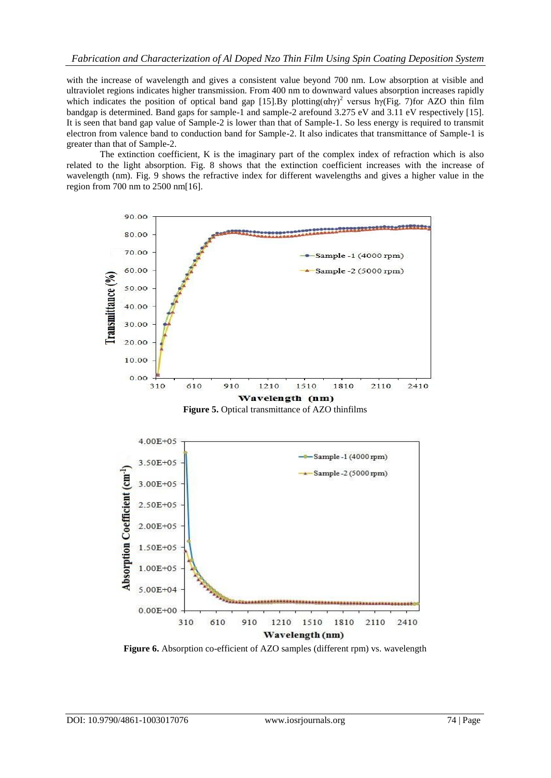with the increase of wavelength and gives a consistent value beyond 700 nm. Low absorption at visible and ultraviolet regions indicates higher transmission. From 400 nm to downward values absorption increases rapidly which indicates the position of optical band gap [15]. By plotting( $\alpha$ h $\gamma$ )<sup>2</sup> versus h $\gamma$ (Fig. 7)for AZO thin film bandgap is determined. Band gaps for sample-1 and sample-2 arefound 3.275 eV and 3.11 eV respectively [15]. It is seen that band gap value of Sample-2 is lower than that of Sample-1. So less energy is required to transmit electron from valence band to conduction band for Sample-2. It also indicates that transmittance of Sample-1 is greater than that of Sample-2.

The extinction coefficient, K is the imaginary part of the complex index of refraction which is also related to the light absorption. Fig. 8 shows that the extinction coefficient increases with the increase of wavelength (nm). Fig. 9 shows the refractive index for different wavelengths and gives a higher value in the region from 700 nm to 2500 nm[16].







Figure 6. Absorption co-efficient of AZO samples (different rpm) vs. wavelength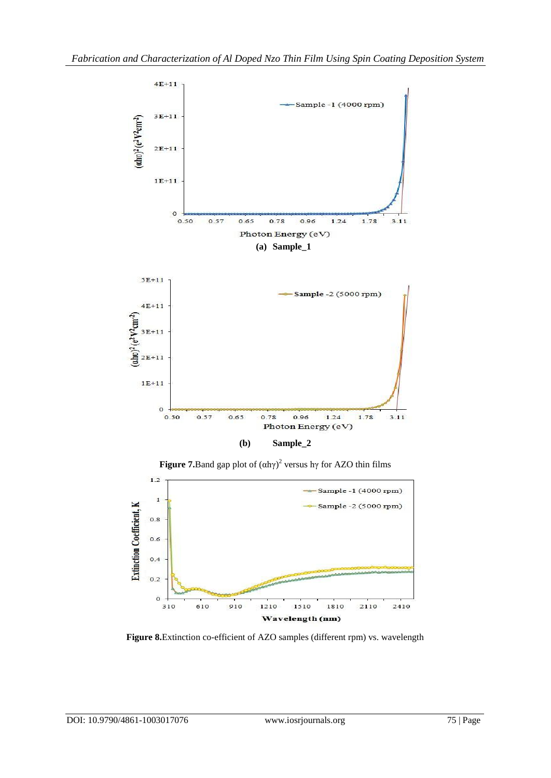

**Figure 7.**Band gap plot of  $(\alpha h\gamma)^2$  versus hy for AZO thin films



**Figure 8.**Extinction co-efficient of AZO samples (different rpm) vs. wavelength